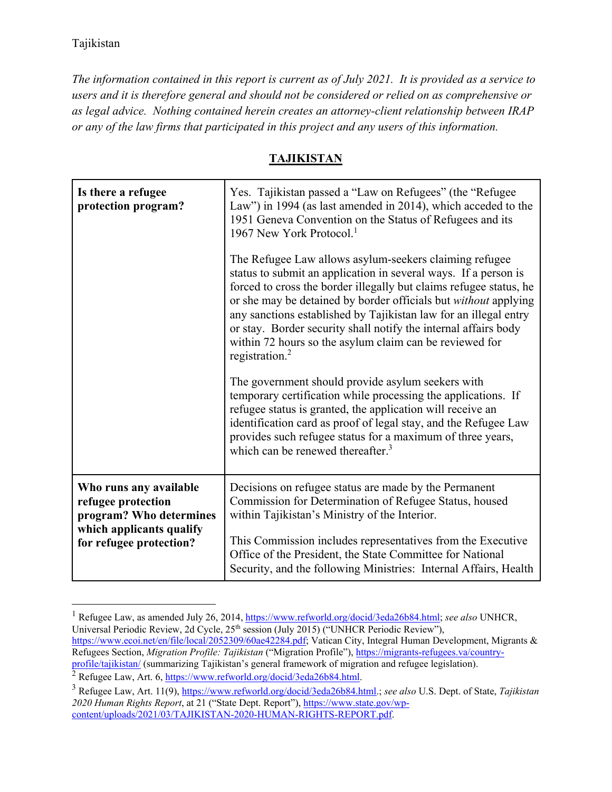*The information contained in this report is current as of July 2021. It is provided as a service to users and it is therefore general and should not be considered or relied on as comprehensive or as legal advice. Nothing contained herein creates an attorney-client relationship between IRAP or any of the law firms that participated in this project and any users of this information.* 

## **TAJIKISTAN**

| Is there a refugee<br>protection program?                                                                                      | Yes. Tajikistan passed a "Law on Refugees" (the "Refugee<br>Law") in 1994 (as last amended in 2014), which acceded to the<br>1951 Geneva Convention on the Status of Refugees and its<br>1967 New York Protocol. <sup>1</sup><br>The Refugee Law allows asylum-seekers claiming refugee<br>status to submit an application in several ways. If a person is<br>forced to cross the border illegally but claims refugee status, he<br>or she may be detained by border officials but without applying<br>any sanctions established by Tajikistan law for an illegal entry<br>or stay. Border security shall notify the internal affairs body<br>within 72 hours so the asylum claim can be reviewed for<br>registration. <sup>2</sup> |
|--------------------------------------------------------------------------------------------------------------------------------|-------------------------------------------------------------------------------------------------------------------------------------------------------------------------------------------------------------------------------------------------------------------------------------------------------------------------------------------------------------------------------------------------------------------------------------------------------------------------------------------------------------------------------------------------------------------------------------------------------------------------------------------------------------------------------------------------------------------------------------|
|                                                                                                                                | The government should provide asylum seekers with<br>temporary certification while processing the applications. If<br>refugee status is granted, the application will receive an<br>identification card as proof of legal stay, and the Refugee Law<br>provides such refugee status for a maximum of three years,<br>which can be renewed thereafter. <sup>3</sup>                                                                                                                                                                                                                                                                                                                                                                  |
| Who runs any available<br>refugee protection<br>program? Who determines<br>which applicants qualify<br>for refugee protection? | Decisions on refugee status are made by the Permanent<br>Commission for Determination of Refugee Status, housed<br>within Tajikistan's Ministry of the Interior.<br>This Commission includes representatives from the Executive<br>Office of the President, the State Committee for National<br>Security, and the following Ministries: Internal Affairs, Health                                                                                                                                                                                                                                                                                                                                                                    |

<sup>&</sup>lt;sup>1</sup> Refugee Law, as amended July 26, 2014, https://www.refworld.org/docid/3eda26b84.html; see also UNHCR, Universal Periodic Review, 2d Cycle, 25<sup>th</sup> session (July 2015) ("UNHCR Periodic Review"), https://www.ecoi.net/en/file/local/2052309/60ae42284.pdf; Vatican City, Integral Human Development, Migrants & Refugees Section, *Migration Profile: Tajikistan* ("Migration Profile"), https://migrants-refugees.va/countryprofile/tajikistan/ (summarizing Tajikistan's general framework of migration and refugee legislation).

<sup>2</sup> Refugee Law, Art. 6, https://www.refworld.org/docid/3eda26b84.html.<br><sup>3</sup> Refugee Law, Art. 11(0), https://www.refugeld.org/docid/3eda26b84.html

Refugee Law, Art. 11(9), https://www.refworld.org/docid/3eda26b84.html.; *see also* U.S. Dept. of State, *Tajikistan 2020 Human Rights Report*, at 21 ("State Dept. Report"), https://www.state.gov/wpcontent/uploads/2021/03/TAJIKISTAN-2020-HUMAN-RIGHTS-REPORT.pdf.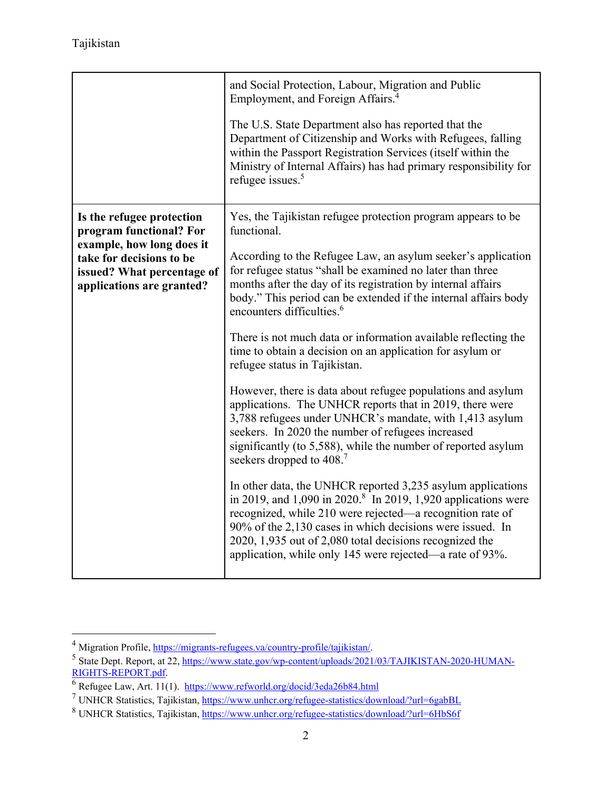|                                                                                     | and Social Protection, Labour, Migration and Public<br>Employment, and Foreign Affairs. <sup>4</sup>                                                                                                                                                                                                                                                                                      |
|-------------------------------------------------------------------------------------|-------------------------------------------------------------------------------------------------------------------------------------------------------------------------------------------------------------------------------------------------------------------------------------------------------------------------------------------------------------------------------------------|
|                                                                                     | The U.S. State Department also has reported that the<br>Department of Citizenship and Works with Refugees, falling<br>within the Passport Registration Services (itself within the<br>Ministry of Internal Affairs) has had primary responsibility for<br>refugee issues. <sup>5</sup>                                                                                                    |
| Is the refugee protection<br>program functional? For<br>example, how long does it   | Yes, the Tajikistan refugee protection program appears to be<br>functional.                                                                                                                                                                                                                                                                                                               |
| take for decisions to be<br>issued? What percentage of<br>applications are granted? | According to the Refugee Law, an asylum seeker's application<br>for refugee status "shall be examined no later than three<br>months after the day of its registration by internal affairs<br>body." This period can be extended if the internal affairs body<br>encounters difficulties. <sup>6</sup>                                                                                     |
|                                                                                     | There is not much data or information available reflecting the<br>time to obtain a decision on an application for asylum or<br>refugee status in Tajikistan.                                                                                                                                                                                                                              |
|                                                                                     | However, there is data about refugee populations and asylum<br>applications. The UNHCR reports that in 2019, there were<br>3,788 refugees under UNHCR's mandate, with 1,413 asylum<br>seekers. In 2020 the number of refugees increased<br>significantly (to 5,588), while the number of reported asylum<br>seekers dropped to 408. <sup>7</sup>                                          |
|                                                                                     | In other data, the UNHCR reported 3,235 asylum applications<br>in 2019, and 1,090 in 2020. <sup>8</sup> In 2019, 1,920 applications were<br>recognized, while 210 were rejected—a recognition rate of<br>90% of the 2,130 cases in which decisions were issued. In<br>2020, 1,935 out of 2,080 total decisions recognized the<br>application, while only 145 were rejected—a rate of 93%. |

<sup>&</sup>lt;sup>4</sup> Migration Profile,  $\frac{https://migrants-refuges.va/country-profile/tajikistan/5}$ <br>
5 State Dant, Bapart, at 22. https://www.state.cov/ym.contant/yploads/2021

<sup>&</sup>lt;sup>5</sup> State Dept. Report, at 22, https://www.state.gov/wp-content/uploads/2021/03/TAJIKISTAN-2020-HUMAN-RIGHTS-REPORT.pdf.

<sup>&</sup>lt;sup>6</sup> Refugee Law, Art. 11(1). https://www.refworld.org/docid/3eda26b84.html<br><sup>7</sup> UNHCP Statistics. Tailkistan.https://www.upher.org/refugee.statistics/dow

UNHCR Statistics, Tajikistan, https://www.unhcr.org/refugee-statistics/download/?url=6gabBL<br>8 UNHCR Statistics, Tajikistan, https://www.unher.org/refugee-statistics/download/?url=6HbS66

<sup>&</sup>lt;sup>8</sup> UNHCR Statistics, Tajikistan, https://www.unhcr.org/refugee-statistics/download/?url=6HbS6f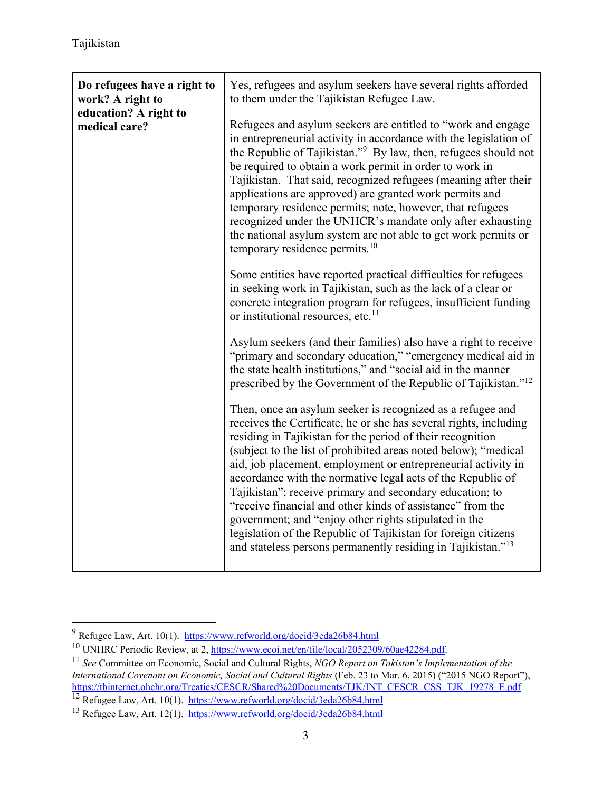| Do refugees have a right to<br>work? A right to<br>education? A right to | Yes, refugees and asylum seekers have several rights afforded<br>to them under the Tajikistan Refugee Law.                                                                                                                                                                                                                                                                                                                                                                                                                                                                                                                                                                                                                        |
|--------------------------------------------------------------------------|-----------------------------------------------------------------------------------------------------------------------------------------------------------------------------------------------------------------------------------------------------------------------------------------------------------------------------------------------------------------------------------------------------------------------------------------------------------------------------------------------------------------------------------------------------------------------------------------------------------------------------------------------------------------------------------------------------------------------------------|
| medical care?                                                            | Refugees and asylum seekers are entitled to "work and engage<br>in entrepreneurial activity in accordance with the legislation of<br>the Republic of Tajikistan." <sup>9</sup> By law, then, refugees should not<br>be required to obtain a work permit in order to work in<br>Tajikistan. That said, recognized refugees (meaning after their<br>applications are approved) are granted work permits and<br>temporary residence permits; note, however, that refugees<br>recognized under the UNHCR's mandate only after exhausting<br>the national asylum system are not able to get work permits or<br>temporary residence permits. <sup>10</sup>                                                                              |
|                                                                          | Some entities have reported practical difficulties for refugees<br>in seeking work in Tajikistan, such as the lack of a clear or<br>concrete integration program for refugees, insufficient funding<br>or institutional resources, etc. <sup>11</sup>                                                                                                                                                                                                                                                                                                                                                                                                                                                                             |
|                                                                          | Asylum seekers (and their families) also have a right to receive<br>"primary and secondary education," "emergency medical aid in<br>the state health institutions," and "social aid in the manner<br>prescribed by the Government of the Republic of Tajikistan." <sup>12</sup>                                                                                                                                                                                                                                                                                                                                                                                                                                                   |
|                                                                          | Then, once an asylum seeker is recognized as a refugee and<br>receives the Certificate, he or she has several rights, including<br>residing in Tajikistan for the period of their recognition<br>(subject to the list of prohibited areas noted below); "medical<br>aid, job placement, employment or entrepreneurial activity in<br>accordance with the normative legal acts of the Republic of<br>Tajikistan"; receive primary and secondary education; to<br>"receive financial and other kinds of assistance" from the<br>government; and "enjoy other rights stipulated in the<br>legislation of the Republic of Tajikistan for foreign citizens<br>and stateless persons permanently residing in Tajikistan." <sup>13</sup> |

<sup>9</sup>

<sup>&</sup>lt;sup>10</sup> UNHRC Periodic Review, at 2, https://www.ecoi.net/en/file/local/2052309/60ae42284.pdf.<br><sup>11</sup> See Committee on Economic, Social and Cultural Rights, *NGO Report on Takistan's Implementation of the International Covenant on Economic, Social and Cultural Rights* (Feb. 23 to Mar. 6, 2015) ("2015 NGO Report"), https://tbinternet.ohchr.org/Treaties/CESCR/Shared%20Documents/TJK/INT\_CESCR\_CSS\_TJK\_19278\_E.pdf <sup>12</sup> Refugee Law, Art. 10(1). https://www.refworld.org/docid/3eda26b84.html

<sup>&</sup>lt;sup>13</sup> Refugee Law, Art. 12(1). https://www.refworld.org/docid/3eda26b84.html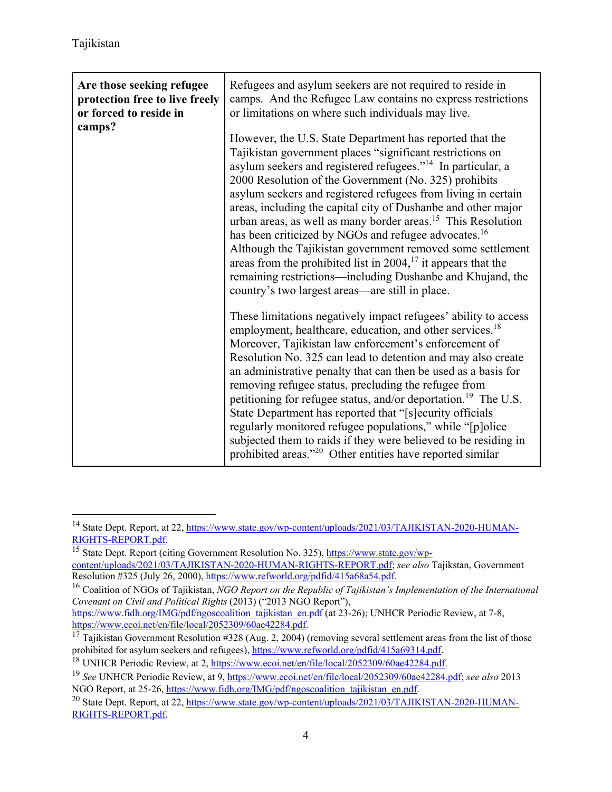| Are those seeking refugee<br>protection free to live freely<br>or forced to reside in<br>camps? | Refugees and asylum seekers are not required to reside in<br>camps. And the Refugee Law contains no express restrictions<br>or limitations on where such individuals may live.                                                                                                                                                                                                                                                                                                                                                                                                                                                                                                                                                                                                                             |
|-------------------------------------------------------------------------------------------------|------------------------------------------------------------------------------------------------------------------------------------------------------------------------------------------------------------------------------------------------------------------------------------------------------------------------------------------------------------------------------------------------------------------------------------------------------------------------------------------------------------------------------------------------------------------------------------------------------------------------------------------------------------------------------------------------------------------------------------------------------------------------------------------------------------|
|                                                                                                 | However, the U.S. State Department has reported that the<br>Tajikistan government places "significant restrictions on<br>asylum seekers and registered refugees." <sup>14</sup> In particular, a<br>2000 Resolution of the Government (No. 325) prohibits<br>asylum seekers and registered refugees from living in certain<br>areas, including the capital city of Dushanbe and other major<br>urban areas, as well as many border areas. <sup>15</sup> This Resolution<br>has been criticized by NGOs and refugee advocates. <sup>16</sup><br>Although the Tajikistan government removed some settlement<br>areas from the prohibited list in $2004$ , <sup>17</sup> it appears that the<br>remaining restrictions—including Dushanbe and Khujand, the<br>country's two largest areas—are still in place. |
|                                                                                                 | These limitations negatively impact refugees' ability to access<br>employment, healthcare, education, and other services. <sup>18</sup><br>Moreover, Tajikistan law enforcement's enforcement of<br>Resolution No. 325 can lead to detention and may also create<br>an administrative penalty that can then be used as a basis for<br>removing refugee status, precluding the refugee from<br>petitioning for refugee status, and/or deportation. <sup>19</sup> The U.S.<br>State Department has reported that "[s] ecurity officials<br>regularly monitored refugee populations," while "[p]olice<br>subjected them to raids if they were believed to be residing in<br>prohibited areas." <sup>20</sup> Other entities have reported similar                                                             |

<sup>&</sup>lt;sup>14</sup> State Dept. Report, at 22, https://www.state.gov/wp-content/uploads/2021/03/TAJIKISTAN-2020-HUMAN-RIGHTS-REPORT.pdf.<br><sup>15</sup> State Dept. Report (citing Government Resolution No. 325), https://www.state.gov/wp-

content/uploads/2021/03/TAJIKISTAN-2020-HUMAN-RIGHTS-REPORT.pdf; *see also* Tajikstan, Government

<sup>&</sup>lt;sup>16</sup> Coalition of NGOs of Tajikistan, *NGO Report on the Republic of Tajikistan's Implementation of the International Covenant on Civil and Political Rights* (2013) ("2013 NGO Report"),

https://www.fidh.org/IMG/pdf/ngoscoalition\_tajikistan\_en.pdf (at 23-26); UNHCR Periodic Review, at 7-8, https://www.ecoi.net/en/file/local/2052309/60ae42284.pdf.

<sup>&</sup>lt;sup>17</sup> Tajikistan Government Resolution #328 (Aug. 2, 2004) (removing several settlement areas from the list of those prohibited for asylum seekers and refugees),  $\frac{https://www.refworld.org/pdfid/415a69314.pdf}{https://www.refworld.org/pdfid/415a69314.pdf}$ .

<sup>&</sup>lt;sup>18</sup> UNHCR Periodic Review, at 2, https://www.ecoi.net/en/file/local/2052309/60ae42284.pdf.<br><sup>19</sup> See UNHCR Periodic Review, at 9, https://www.ecoi.net/en/file/local/2052309/60ae42284.pdf; see also 2013<br>NGO Report, at 25-26

<sup>&</sup>lt;sup>20</sup> State Dept. Report, at 22, https://www.state.gov/wp-content/uploads/2021/03/TAJIKISTAN-2020-HUMAN-RIGHTS-REPORT.pdf.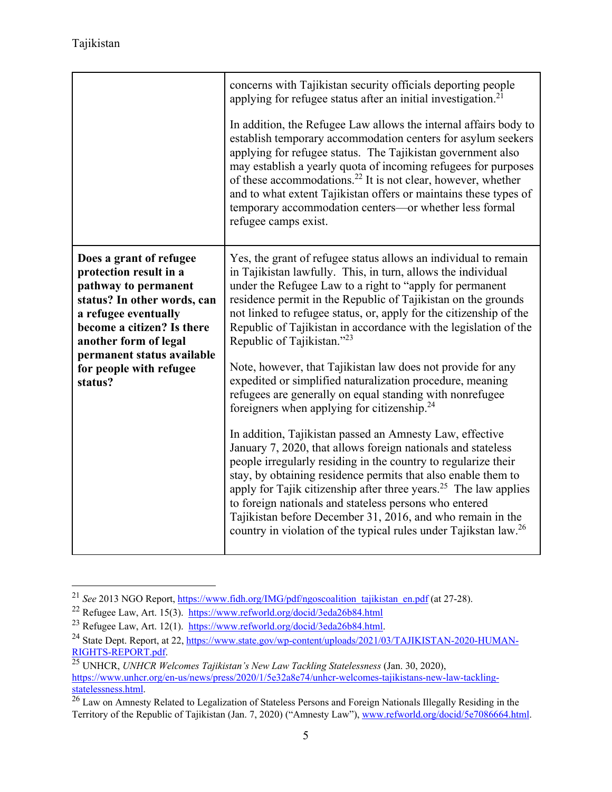|                                                                                                                                                                                                                                                             | concerns with Tajikistan security officials deporting people<br>applying for refugee status after an initial investigation. <sup>21</sup><br>In addition, the Refugee Law allows the internal affairs body to<br>establish temporary accommodation centers for asylum seekers<br>applying for refugee status. The Tajikistan government also<br>may establish a yearly quota of incoming refugees for purposes<br>of these accommodations. <sup>22</sup> It is not clear, however, whether<br>and to what extent Tajikistan offers or maintains these types of<br>temporary accommodation centers—or whether less formal<br>refugee camps exist.                                                                                                                                                                                                                                                                                                                                                                                                                                                                                                                                                                                      |
|-------------------------------------------------------------------------------------------------------------------------------------------------------------------------------------------------------------------------------------------------------------|---------------------------------------------------------------------------------------------------------------------------------------------------------------------------------------------------------------------------------------------------------------------------------------------------------------------------------------------------------------------------------------------------------------------------------------------------------------------------------------------------------------------------------------------------------------------------------------------------------------------------------------------------------------------------------------------------------------------------------------------------------------------------------------------------------------------------------------------------------------------------------------------------------------------------------------------------------------------------------------------------------------------------------------------------------------------------------------------------------------------------------------------------------------------------------------------------------------------------------------|
| Does a grant of refugee<br>protection result in a<br>pathway to permanent<br>status? In other words, can<br>a refugee eventually<br>become a citizen? Is there<br>another form of legal<br>permanent status available<br>for people with refugee<br>status? | Yes, the grant of refugee status allows an individual to remain<br>in Tajikistan lawfully. This, in turn, allows the individual<br>under the Refugee Law to a right to "apply for permanent<br>residence permit in the Republic of Tajikistan on the grounds<br>not linked to refugee status, or, apply for the citizenship of the<br>Republic of Tajikistan in accordance with the legislation of the<br>Republic of Tajikistan."23<br>Note, however, that Tajikistan law does not provide for any<br>expedited or simplified naturalization procedure, meaning<br>refugees are generally on equal standing with nonrefugee<br>foreigners when applying for citizenship. $24$<br>In addition, Tajikistan passed an Amnesty Law, effective<br>January 7, 2020, that allows foreign nationals and stateless<br>people irregularly residing in the country to regularize their<br>stay, by obtaining residence permits that also enable them to<br>apply for Tajik citizenship after three years. <sup>25</sup> The law applies<br>to foreign nationals and stateless persons who entered<br>Tajikistan before December 31, 2016, and who remain in the<br>country in violation of the typical rules under Tajikstan law. <sup>26</sup> |

<sup>&</sup>lt;sup>21</sup> *See* 2013 NGO Report, https://www.fidh.org/IMG/pdf/ngoscoalition tajikistan en.pdf (at 27-28).

<sup>&</sup>lt;sup>22</sup> Refugee Law, Art. 15(3). https://www.refworld.org/docid/3eda26b84.html<br><sup>23</sup> Refugee Law, Art. 12(1). https://www.refworld.org/docid/3eda26b84.html<br><sup>24</sup> State Dept. Report, at 22, https://www.state.gov/wp-content/uploa RIGHTS-REPORT.pdf.<br><sup>25</sup> UNHCR, *UNHCR Welcomes Tajikistan's New Law Tackling Statelessness* (Jan. 30, 2020),

https://www.unhcr.org/en-us/news/press/2020/1/5e32a8e74/unhcr-welcomes-tajikistans-new-law-tacklingstatelessness.html.<br><sup>26</sup> Law on Amnesty Related to Legalization of Stateless Persons and Foreign Nationals Illegally Residing in the

Territory of the Republic of Tajikistan (Jan. 7, 2020) ("Amnesty Law"), www.refworld.org/docid/5e7086664.html.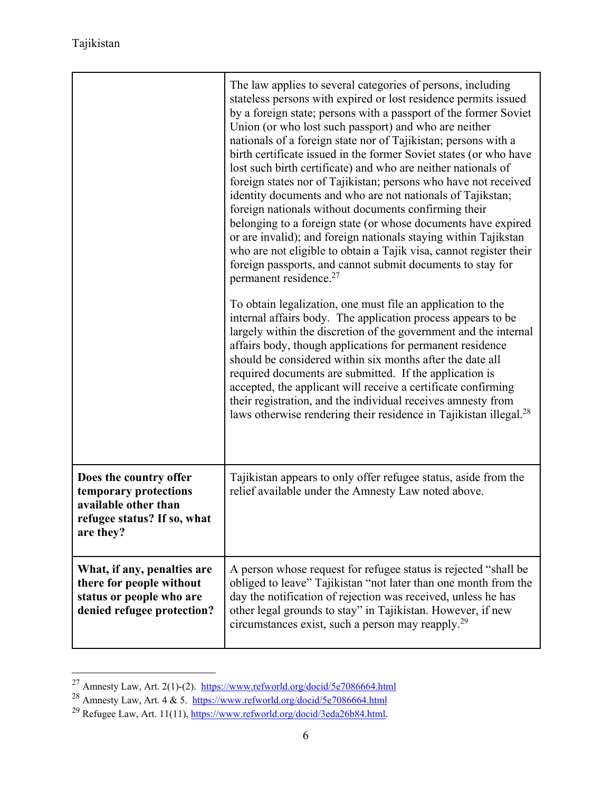|                                                                                                                     | The law applies to several categories of persons, including<br>stateless persons with expired or lost residence permits issued<br>by a foreign state; persons with a passport of the former Soviet<br>Union (or who lost such passport) and who are neither<br>nationals of a foreign state nor of Tajikistan; persons with a<br>birth certificate issued in the former Soviet states (or who have<br>lost such birth certificate) and who are neither nationals of<br>foreign states nor of Tajikistan; persons who have not received<br>identity documents and who are not nationals of Tajikstan;<br>foreign nationals without documents confirming their<br>belonging to a foreign state (or whose documents have expired<br>or are invalid); and foreign nationals staying within Tajikstan<br>who are not eligible to obtain a Tajik visa, cannot register their<br>foreign passports, and cannot submit documents to stay for<br>permanent residence. <sup>27</sup> |
|---------------------------------------------------------------------------------------------------------------------|----------------------------------------------------------------------------------------------------------------------------------------------------------------------------------------------------------------------------------------------------------------------------------------------------------------------------------------------------------------------------------------------------------------------------------------------------------------------------------------------------------------------------------------------------------------------------------------------------------------------------------------------------------------------------------------------------------------------------------------------------------------------------------------------------------------------------------------------------------------------------------------------------------------------------------------------------------------------------|
|                                                                                                                     | To obtain legalization, one must file an application to the<br>internal affairs body. The application process appears to be<br>largely within the discretion of the government and the internal<br>affairs body, though applications for permanent residence<br>should be considered within six months after the date all<br>required documents are submitted. If the application is<br>accepted, the applicant will receive a certificate confirming<br>their registration, and the individual receives amnesty from<br>laws otherwise rendering their residence in Tajikistan illegal. <sup>28</sup>                                                                                                                                                                                                                                                                                                                                                                     |
| Does the country offer<br>temporary protections<br>available other than<br>refugee status? If so, what<br>are they? | Tajikistan appears to only offer refugee status, aside from the<br>relief available under the Amnesty Law noted above.                                                                                                                                                                                                                                                                                                                                                                                                                                                                                                                                                                                                                                                                                                                                                                                                                                                     |
| What, if any, penalties are<br>there for people without<br>status or people who are<br>denied refugee protection?   | A person whose request for refugee status is rejected "shall be<br>obliged to leave" Tajikistan "not later than one month from the<br>day the notification of rejection was received, unless he has<br>other legal grounds to stay" in Tajikistan. However, if new<br>circumstances exist, such a person may reapply. <sup>29</sup>                                                                                                                                                                                                                                                                                                                                                                                                                                                                                                                                                                                                                                        |

<sup>&</sup>lt;sup>27</sup> Amnesty Law, Art. 2(1)-(2). https://www.refworld.org/docid/5e7086664.html<br><sup>28</sup> Amnesty Law, Art. 4 & 5. https://www.refworld.org/docid/5e7086664.html

<sup>&</sup>lt;sup>29</sup> Refugee Law, Art. 11(11), https://www.refworld.org/docid/3eda26b84.html.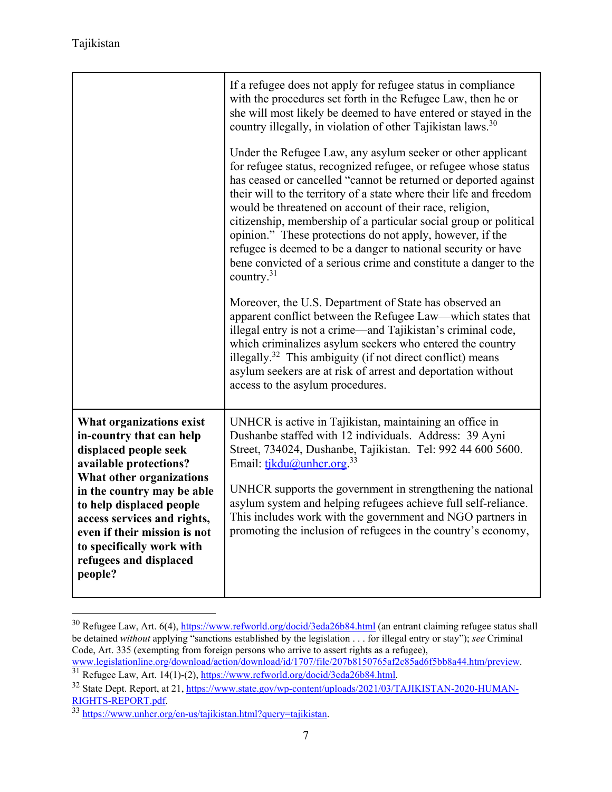|                                                                                                                                                                                                                                                                                                                                | If a refugee does not apply for refugee status in compliance<br>with the procedures set forth in the Refugee Law, then he or<br>she will most likely be deemed to have entered or stayed in the<br>country illegally, in violation of other Tajikistan laws. <sup>30</sup><br>Under the Refugee Law, any asylum seeker or other applicant<br>for refugee status, recognized refugee, or refugee whose status<br>has ceased or cancelled "cannot be returned or deported against<br>their will to the territory of a state where their life and freedom<br>would be threatened on account of their race, religion,<br>citizenship, membership of a particular social group or political<br>opinion." These protections do not apply, however, if the<br>refugee is deemed to be a danger to national security or have<br>bene convicted of a serious crime and constitute a danger to the<br>country. $31$<br>Moreover, the U.S. Department of State has observed an<br>apparent conflict between the Refugee Law—which states that<br>illegal entry is not a crime—and Tajikistan's criminal code,<br>which criminalizes asylum seekers who entered the country<br>illegally. <sup>32</sup> This ambiguity (if not direct conflict) means<br>asylum seekers are at risk of arrest and deportation without<br>access to the asylum procedures. |
|--------------------------------------------------------------------------------------------------------------------------------------------------------------------------------------------------------------------------------------------------------------------------------------------------------------------------------|-----------------------------------------------------------------------------------------------------------------------------------------------------------------------------------------------------------------------------------------------------------------------------------------------------------------------------------------------------------------------------------------------------------------------------------------------------------------------------------------------------------------------------------------------------------------------------------------------------------------------------------------------------------------------------------------------------------------------------------------------------------------------------------------------------------------------------------------------------------------------------------------------------------------------------------------------------------------------------------------------------------------------------------------------------------------------------------------------------------------------------------------------------------------------------------------------------------------------------------------------------------------------------------------------------------------------------------------------|
| What organizations exist<br>in-country that can help<br>displaced people seek<br>available protections?<br>What other organizations<br>in the country may be able<br>to help displaced people<br>access services and rights,<br>even if their mission is not<br>to specifically work with<br>refugees and displaced<br>people? | UNHCR is active in Tajikistan, maintaining an office in<br>Dushanbe staffed with 12 individuals. Address: 39 Ayni<br>Street, 734024, Dushanbe, Tajikistan. Tel: 992 44 600 5600.<br>Email: $tikdu@unher.org.33$<br>UNHCR supports the government in strengthening the national<br>asylum system and helping refugees achieve full self-reliance.<br>This includes work with the government and NGO partners in<br>promoting the inclusion of refugees in the country's economy,                                                                                                                                                                                                                                                                                                                                                                                                                                                                                                                                                                                                                                                                                                                                                                                                                                                               |

<sup>&</sup>lt;sup>30</sup> Refugee Law, Art. 6(4), https://www.refworld.org/docid/3eda26b84.html (an entrant claiming refugee status shall be detained *without* applying "sanctions established by the legislation . . . for illegal entry or stay"); *see* Criminal Code, Art. 335 (exempting from foreign persons who arrive to assert rights as a refugee),<br>www.legislationline.org/download/action/download/id/1707/file/207b8150765af2c85ad6f5bb8a44.htm/preview.

<sup>31</sup> Refugee Law, Art. 14(1)-(2), https://www.refworld.org/docid/3eda26b84.html.<br>32 State Dept. Report, at 21, https://www.state.gov/wp-content/uploads/2021/03/TAJIKISTAN-2020-HUMAN-

RIGHTS-REPORT.pdf.<br><sup>33</sup> https://www.unhcr.org/en-us/tajikistan.html?query=tajikistan.